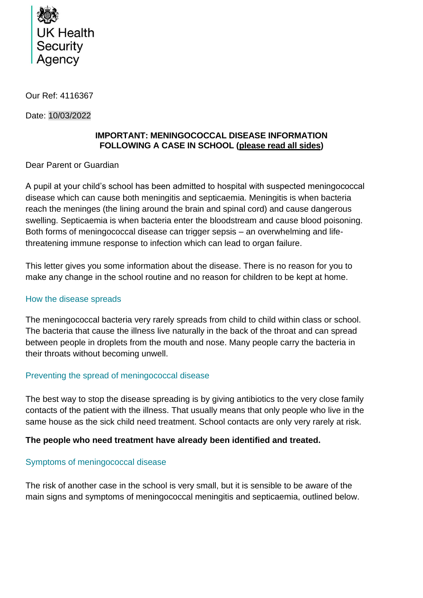

Our Ref: 4116367

Date: 10/03/2022

## **IMPORTANT: MENINGOCOCCAL DISEASE INFORMATION FOLLOWING A CASE IN SCHOOL (please read all sides)**

### Dear Parent or Guardian

A pupil at your child's school has been admitted to hospital with suspected meningococcal disease which can cause both meningitis and septicaemia. Meningitis is when bacteria reach the meninges (the lining around the brain and spinal cord) and cause dangerous swelling. Septicaemia is when bacteria enter the bloodstream and cause blood poisoning. Both forms of meningococcal disease can trigger sepsis – an overwhelming and lifethreatening immune response to infection which can lead to organ failure.

This letter gives you some information about the disease. There is no reason for you to make any change in the school routine and no reason for children to be kept at home.

### How the disease spreads

The meningococcal bacteria very rarely spreads from child to child within class or school. The bacteria that cause the illness live naturally in the back of the throat and can spread between people in droplets from the mouth and nose. Many people carry the bacteria in their throats without becoming unwell.

# Preventing the spread of meningococcal disease

The best way to stop the disease spreading is by giving antibiotics to the very close family contacts of the patient with the illness. That usually means that only people who live in the same house as the sick child need treatment. School contacts are only very rarely at risk.

# **The people who need treatment have already been identified and treated.**

# Symptoms of meningococcal disease

The risk of another case in the school is very small, but it is sensible to be aware of the main signs and symptoms of meningococcal meningitis and septicaemia, outlined below.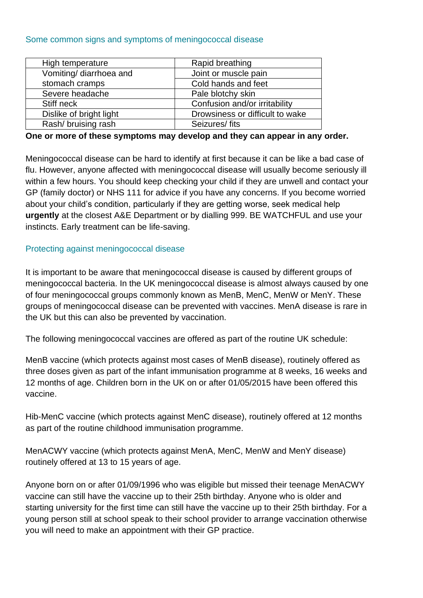#### Some common signs and symptoms of meningococcal disease

| High temperature        | Rapid breathing                 |
|-------------------------|---------------------------------|
| Vomiting/ diarrhoea and | Joint or muscle pain            |
| stomach cramps          | Cold hands and feet             |
| Severe headache         | Pale blotchy skin               |
| Stiff neck              | Confusion and/or irritability   |
| Dislike of bright light | Drowsiness or difficult to wake |
| Rash/ bruising rash     | Seizures/fits                   |

#### **One or more of these symptoms may develop and they can appear in any order.**

Meningococcal disease can be hard to identify at first because it can be like a bad case of flu. However, anyone affected with meningococcal disease will usually become seriously ill within a few hours. You should keep checking your child if they are unwell and contact your GP (family doctor) or NHS 111 for advice if you have any concerns. If you become worried about your child's condition, particularly if they are getting worse, seek medical help **urgently** at the closest A&E Department or by dialling 999. BE WATCHFUL and use your instincts. Early treatment can be life-saving.

### Protecting against meningococcal disease

It is important to be aware that meningococcal disease is caused by different groups of meningococcal bacteria. In the UK meningococcal disease is almost always caused by one of four meningococcal groups commonly known as MenB, MenC, MenW or MenY. These groups of meningococcal disease can be prevented with vaccines. MenA disease is rare in the UK but this can also be prevented by vaccination.

The following meningococcal vaccines are offered as part of the routine UK schedule:

MenB vaccine (which protects against most cases of MenB disease), routinely offered as three doses given as part of the infant immunisation programme at 8 weeks, 16 weeks and 12 months of age. Children born in the UK on or after 01/05/2015 have been offered this vaccine.

Hib-MenC vaccine (which protects against MenC disease), routinely offered at 12 months as part of the routine childhood immunisation programme.

MenACWY vaccine (which protects against MenA, MenC, MenW and MenY disease) routinely offered at 13 to 15 years of age.

Anyone born on or after 01/09/1996 who was eligible but missed their teenage MenACWY vaccine can still have the vaccine up to their 25th birthday. Anyone who is older and starting university for the first time can still have the vaccine up to their 25th birthday. For a young person still at school speak to their school provider to arrange vaccination otherwise you will need to make an appointment with their GP practice.